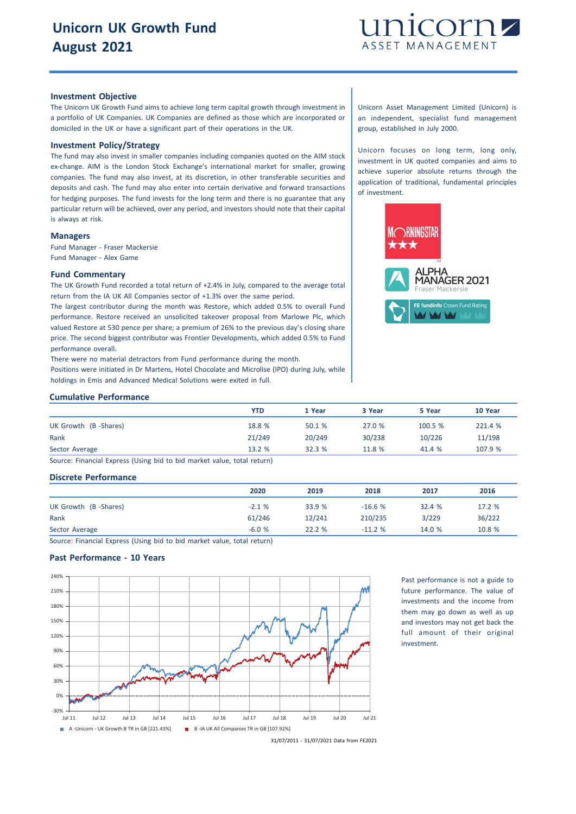

## **Investment Objective**

The Unicorn UK Growth Fund aims to achieve long term capital growth through investment in a portfolio of UK Companies. UK Companies are defined as those which are incorporated or domiciled in the UK or have a significant part of their operations in the UK.

# **Investment Policy/Strategy**

The fund may also invest in smaller companies including companies quoted on the AIM stock ex-change. AIM is the London Stock Exchange's international market for smaller, growing companies. The fund may also invest, at its discretion, in other transferable securities and deposits and cash. The fund may also enter into certain derivative and forward transactions for hedging purposes. The fund invests for the long term and there is no guarantee that any particular return will be achieved, over any period, and investors should note that their capital is always at risk.

#### **Managers**

Fund Manager - Fraser Mackersie Fund Manager - Alex Game

#### **Fund Commentary**

The UK Growth Fund recorded a total return of +2.4% in July, compared to the average total return from the IA UK All Companies sector of +1.3% over the same period.

The largest contributor during the month was Restore, which added 0.5% to overall Fund performance. Restore received an unsolicited takeover proposal from Marlowe Plc, which valued Restore at 530 pence per share; a premium of 26% to the previous day's closing share price. The second biggest contributor was Frontier Developments, which added 0.5% to Fund performance overall.

There were no material detractors from Fund performance during the month. Positions were initiated in Dr Martens, Hotel Chocolate and Microlise (IPO) during July, while holdings in Emis and Advanced Medical Solutions were exited in full.

#### **Cumulative Performance**

| <b>YTD</b> | 1 Year | 3 Year | 5 Year  | 10 Year |
|------------|--------|--------|---------|---------|
| 18.8 %     | 50.1 % | 27.0 % | 100.5 % | 221.4 % |
| 21/249     | 20/249 | 30/238 | 10/226  | 11/198  |
| 13.2 %     | 32.3%  | 11.8 % | 41.4 %  | 107.9 % |
|            |        |        |         |         |

Source: Financial Express (Using bid to bid market value, total return)

#### **Discrete Performance**

|                      | 2020    | 2019   | 2018     | 2017   | 2016   |
|----------------------|---------|--------|----------|--------|--------|
| UK Growth (B-Shares) | $-2.1%$ | 33.9 % | $-16.6%$ | 32.4%  | 17.2 % |
| Rank                 | 61/246  | 12/241 | 210/235  | 3/229  | 36/222 |
| Sector Average       | $-6.0%$ | 22.2 % | $-11.2%$ | 14.0 % | 10.8 % |
|                      |         |        |          |        |        |

Source: Financial Express (Using bid to bid market value, total return)

## **Past Performance - 10 Years**



Past performance is not a guide to future performance. The value of investments and the income from them may go down as well as up and investors may not get back the full amount of their original investment.

Unicorn Asset Management Limited (Unicorn) is an independent, specialist fund management group, established in July 2000.

Unicorn focuses on long term, long only, investment in UK quoted companies and aims to achieve superior absolute returns through the application of traditional, fundamental principles of investment.